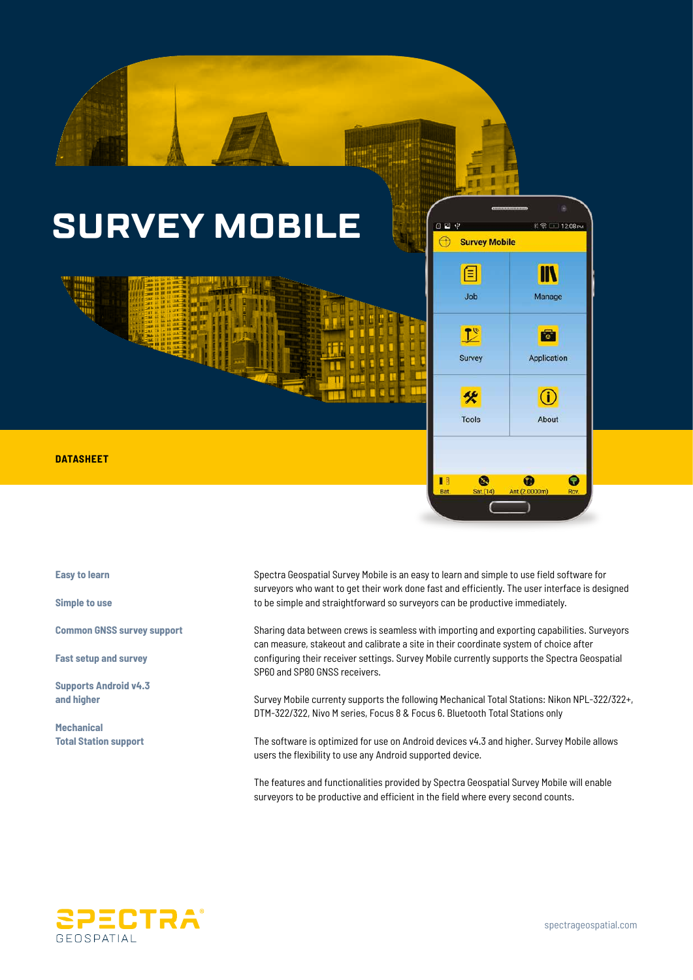

**Easy to learn**

**Simple to use**

**Common GNSS survey support**

**Fast setup and survey**

**Supports Android v4.3 and higher**

**Mechanical Total Station support**

Spectra Geospatial Survey Mobile is an easy to learn and simple to use field software for surveyors who want to get their work done fast and efficiently. The user interface is designed to be simple and straightforward so surveyors can be productive immediately.

Sharing data between crews is seamless with importing and exporting capabilities. Surveyors can measure, stakeout and calibrate a site in their coordinate system of choice after configuring their receiver settings. Survey Mobile currently supports the Spectra Geospatial SP60 and SP80 GNSS receivers.

Survey Mobile currenty supports the following Mechanical Total Stations: Nikon NPL-322/322+, DTM-322/322, Nivo M series, Focus 8 & Focus 6. Bluetooth Total Stations only

The software is optimized for use on Android devices v4.3 and higher. Survey Mobile allows users the flexibility to use any Android supported device.

The features and functionalities provided by Spectra Geospatial Survey Mobile will enable surveyors to be productive and efficient in the field where every second counts.